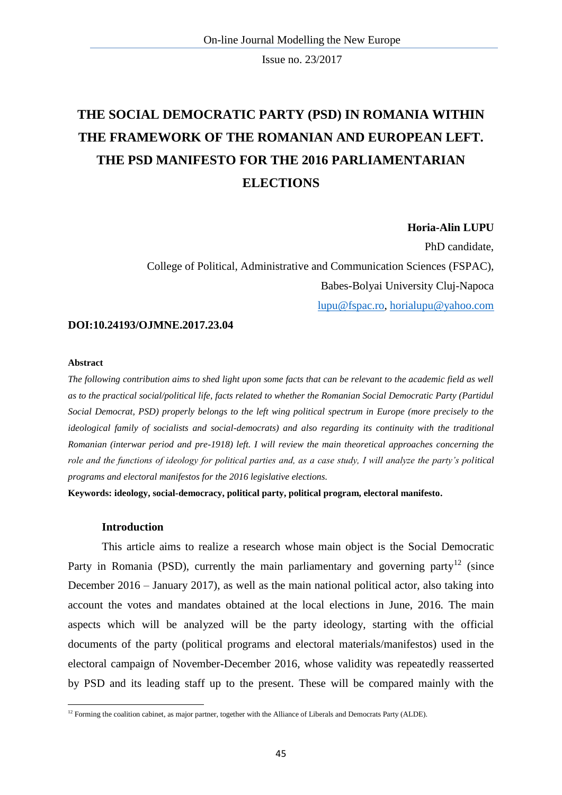# **THE SOCIAL DEMOCRATIC PARTY (PSD) IN ROMANIA WITHIN THE FRAMEWORK OF THE ROMANIAN AND EUROPEAN LEFT. THE PSD MANIFESTO FOR THE 2016 PARLIAMENTARIAN ELECTIONS**

### **Horia-Alin LUPU**

PhD candidate, College of Political, Administrative and Communication Sciences (FSPAC), Babes-Bolyai University Cluj-Napoca [lupu@fspac.ro,](mailto:lupu@fspac.ro) [horialupu@yahoo.com](mailto:horialupu@yahoo.com)

## **DOI:10.24193/OJMNE.2017.23.04**

#### **Abstract**

*The following contribution aims to shed light upon some facts that can be relevant to the academic field as well as to the practical social/political life, facts related to whether the Romanian Social Democratic Party (Partidul Social Democrat, PSD) properly belongs to the left wing political spectrum in Europe (more precisely to the ideological family of socialists and social-democrats) and also regarding its continuity with the traditional Romanian (interwar period and pre-1918) left. I will review the main theoretical approaches concerning the role and the functions of ideology for political parties and, as a case study, I will analyze the party's political programs and electoral manifestos for the 2016 legislative elections.*

**Keywords: ideology, social-democracy, political party, political program, electoral manifesto.** 

### **Introduction**

This article aims to realize a research whose main object is the Social Democratic Party in Romania (PSD), currently the main parliamentary and governing party<sup>12</sup> (since December 2016 – January 2017), as well as the main national political actor, also taking into account the votes and mandates obtained at the local elections in June, 2016. The main aspects which will be analyzed will be the party ideology, starting with the official documents of the party (political programs and electoral materials/manifestos) used in the electoral campaign of November-December 2016, whose validity was repeatedly reasserted by PSD and its leading staff up to the present. These will be compared mainly with the

<sup>1</sup>  $12$  Forming the coalition cabinet, as major partner, together with the Alliance of Liberals and Democrats Party (ALDE).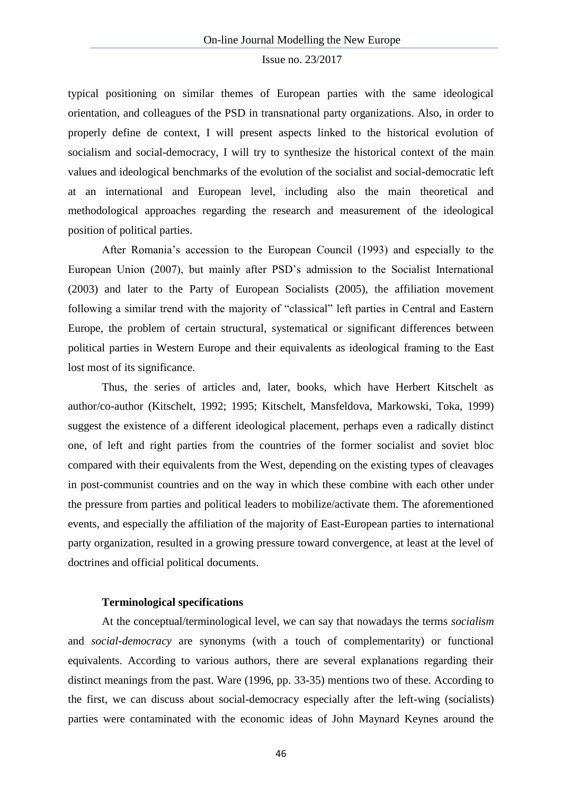typical positioning on similar themes of European parties with the same ideological orientation, and colleagues of the PSD in transnational party organizations. Also, in order to properly define de context, I will present aspects linked to the historical evolution of socialism and social-democracy, I will try to synthesize the historical context of the main values and ideological benchmarks of the evolution of the socialist and social-democratic left at an international and European level, including also the main theoretical and methodological approaches regarding the research and measurement of the ideological position of political parties.

After Romania's accession to the European Council (1993) and especially to the European Union (2007), but mainly after PSD's admission to the Socialist International (2003) and later to the Party of European Socialists (2005), the affiliation movement following a similar trend with the majority of "classical" left parties in Central and Eastern Europe, the problem of certain structural, systematical or significant differences between political parties in Western Europe and their equivalents as ideological framing to the East lost most of its significance.

Thus, the series of articles and, later, books, which have Herbert Kitschelt as author/co-author (Kitschelt, 1992; 1995; Kitschelt, Mansfeldova, Markowski, Toka, 1999) suggest the existence of a different ideological placement, perhaps even a radically distinct one, of left and right parties from the countries of the former socialist and soviet bloc compared with their equivalents from the West, depending on the existing types of cleavages in post-communist countries and on the way in which these combine with each other under the pressure from parties and political leaders to mobilize/activate them. The aforementioned events, and especially the affiliation of the majority of East-European parties to international party organization, resulted in a growing pressure toward convergence, at least at the level of doctrines and official political documents.

### **Terminological specifications**

At the conceptual/terminological level, we can say that nowadays the terms *socialism*  and *social-democracy* are synonyms (with a touch of complementarity) or functional equivalents. According to various authors, there are several explanations regarding their distinct meanings from the past. Ware (1996, pp. 33-35) mentions two of these. According to the first, we can discuss about social-democracy especially after the left-wing (socialists) parties were contaminated with the economic ideas of John Maynard Keynes around the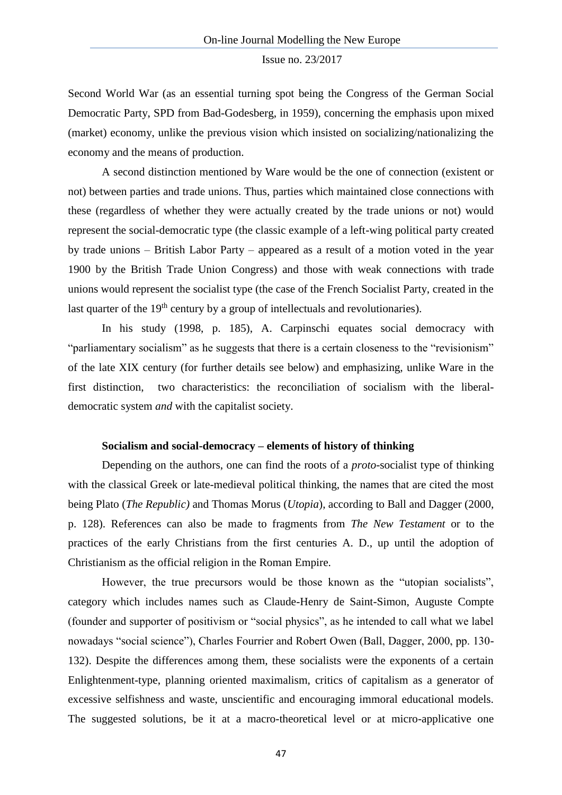Second World War (as an essential turning spot being the Congress of the German Social Democratic Party, SPD from Bad-Godesberg, in 1959), concerning the emphasis upon mixed (market) economy, unlike the previous vision which insisted on socializing/nationalizing the economy and the means of production.

A second distinction mentioned by Ware would be the one of connection (existent or not) between parties and trade unions. Thus, parties which maintained close connections with these (regardless of whether they were actually created by the trade unions or not) would represent the social-democratic type (the classic example of a left-wing political party created by trade unions – British Labor Party – appeared as a result of a motion voted in the year 1900 by the British Trade Union Congress) and those with weak connections with trade unions would represent the socialist type (the case of the French Socialist Party, created in the last quarter of the  $19<sup>th</sup>$  century by a group of intellectuals and revolutionaries).

In his study (1998, p. 185), A. Carpinschi equates social democracy with "parliamentary socialism" as he suggests that there is a certain closeness to the "revisionism" of the late XIX century (for further details see below) and emphasizing, unlike Ware in the first distinction, two characteristics: the reconciliation of socialism with the liberaldemocratic system *and* with the capitalist society.

### **Socialism and social-democracy – elements of history of thinking**

Depending on the authors, one can find the roots of a *proto-*socialist type of thinking with the classical Greek or late-medieval political thinking, the names that are cited the most being Plato (*The Republic)* and Thomas Morus (*Utopia*), according to Ball and Dagger (2000, p. 128). References can also be made to fragments from *The New Testament* or to the practices of the early Christians from the first centuries A. D., up until the adoption of Christianism as the official religion in the Roman Empire.

However, the true precursors would be those known as the "utopian socialists", category which includes names such as Claude-Henry de Saint-Simon, Auguste Compte (founder and supporter of positivism or "social physics", as he intended to call what we label nowadays "social science"), Charles Fourrier and Robert Owen (Ball, Dagger, 2000, pp. 130- 132). Despite the differences among them, these socialists were the exponents of a certain Enlightenment-type, planning oriented maximalism, critics of capitalism as a generator of excessive selfishness and waste, unscientific and encouraging immoral educational models. The suggested solutions, be it at a macro-theoretical level or at micro-applicative one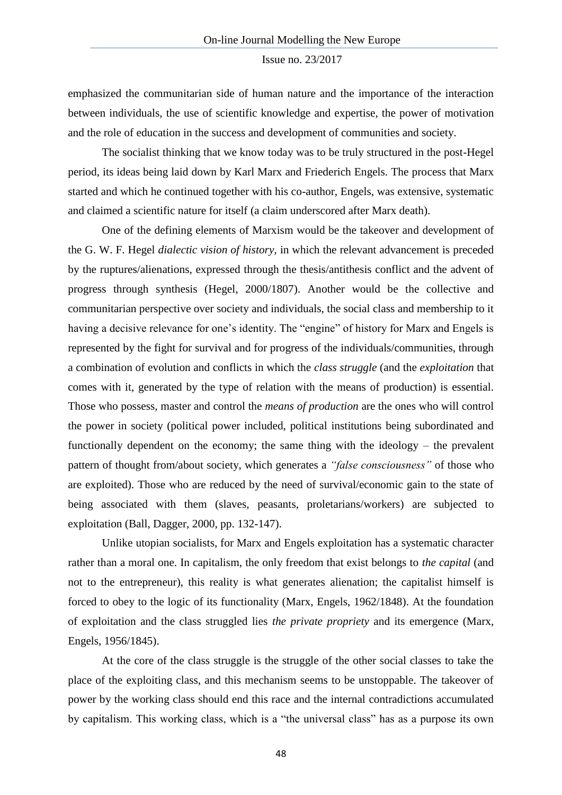emphasized the communitarian side of human nature and the importance of the interaction between individuals, the use of scientific knowledge and expertise, the power of motivation and the role of education in the success and development of communities and society.

The socialist thinking that we know today was to be truly structured in the post-Hegel period, its ideas being laid down by Karl Marx and Friederich Engels. The process that Marx started and which he continued together with his co-author, Engels, was extensive, systematic and claimed a scientific nature for itself (a claim underscored after Marx death).

One of the defining elements of Marxism would be the takeover and development of the G. W. F. Hegel *dialectic vision of history,* in which the relevant advancement is preceded by the ruptures/alienations, expressed through the thesis/antithesis conflict and the advent of progress through synthesis (Hegel, 2000/1807). Another would be the collective and communitarian perspective over society and individuals, the social class and membership to it having a decisive relevance for one's identity. The "engine" of history for Marx and Engels is represented by the fight for survival and for progress of the individuals/communities, through a combination of evolution and conflicts in which the *class struggle* (and the *exploitation* that comes with it, generated by the type of relation with the means of production) is essential. Those who possess, master and control the *means of production* are the ones who will control the power in society (political power included, political institutions being subordinated and functionally dependent on the economy; the same thing with the ideology – the prevalent pattern of thought from/about society, which generates a *"false consciousness"* of those who are exploited). Those who are reduced by the need of survival/economic gain to the state of being associated with them (slaves, peasants, proletarians/workers) are subjected to exploitation (Ball, Dagger, 2000, pp. 132-147).

Unlike utopian socialists, for Marx and Engels exploitation has a systematic character rather than a moral one. In capitalism, the only freedom that exist belongs to *the capital* (and not to the entrepreneur), this reality is what generates alienation; the capitalist himself is forced to obey to the logic of its functionality (Marx, Engels, 1962/1848). At the foundation of exploitation and the class struggled lies *the private propriety* and its emergence (Marx, Engels, 1956/1845).

At the core of the class struggle is the struggle of the other social classes to take the place of the exploiting class, and this mechanism seems to be unstoppable. The takeover of power by the working class should end this race and the internal contradictions accumulated by capitalism. This working class, which is a "the universal class" has as a purpose its own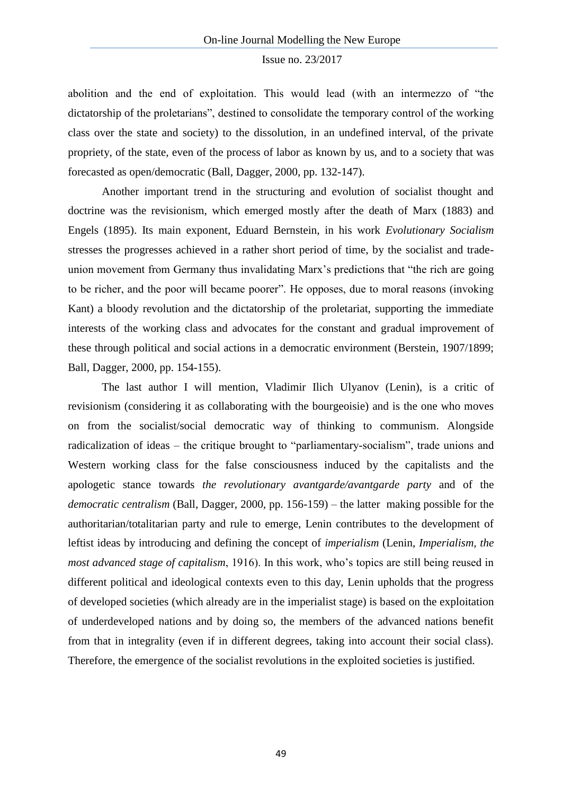abolition and the end of exploitation. This would lead (with an intermezzo of "the dictatorship of the proletarians", destined to consolidate the temporary control of the working class over the state and society) to the dissolution, in an undefined interval, of the private propriety, of the state, even of the process of labor as known by us, and to a society that was forecasted as open/democratic (Ball, Dagger, 2000, pp. 132-147).

Another important trend in the structuring and evolution of socialist thought and doctrine was the revisionism, which emerged mostly after the death of Marx (1883) and Engels (1895). Its main exponent, Eduard Bernstein, in his work *Evolutionary Socialism* stresses the progresses achieved in a rather short period of time, by the socialist and tradeunion movement from Germany thus invalidating Marx's predictions that "the rich are going to be richer, and the poor will became poorer". He opposes, due to moral reasons (invoking Kant) a bloody revolution and the dictatorship of the proletariat, supporting the immediate interests of the working class and advocates for the constant and gradual improvement of these through political and social actions in a democratic environment (Berstein, 1907/1899; Ball, Dagger, 2000, pp. 154-155).

The last author I will mention, Vladimir Ilich Ulyanov (Lenin), is a critic of revisionism (considering it as collaborating with the bourgeoisie) and is the one who moves on from the socialist/social democratic way of thinking to communism. Alongside radicalization of ideas – the critique brought to "parliamentary-socialism", trade unions and Western working class for the false consciousness induced by the capitalists and the apologetic stance towards *the revolutionary avantgarde/avantgarde party* and of the *democratic centralism* (Ball, Dagger, 2000, pp. 156-159) – the latter making possible for the authoritarian/totalitarian party and rule to emerge, Lenin contributes to the development of leftist ideas by introducing and defining the concept of *imperialism* (Lenin, *Imperialism, the most advanced stage of capitalism*, 1916). In this work, who's topics are still being reused in different political and ideological contexts even to this day, Lenin upholds that the progress of developed societies (which already are in the imperialist stage) is based on the exploitation of underdeveloped nations and by doing so, the members of the advanced nations benefit from that in integrality (even if in different degrees, taking into account their social class). Therefore, the emergence of the socialist revolutions in the exploited societies is justified.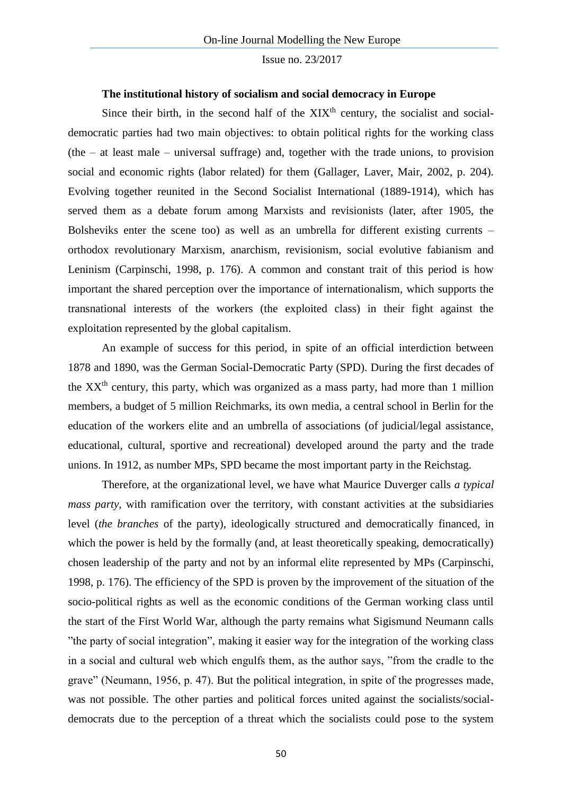# **The institutional history of socialism and social democracy in Europe**

Since their birth, in the second half of the  $XIX<sup>th</sup>$  century, the socialist and socialdemocratic parties had two main objectives: to obtain political rights for the working class (the  $-$  at least male  $-$  universal suffrage) and, together with the trade unions, to provision social and economic rights (labor related) for them (Gallager, Laver, Mair, 2002, p. 204). Evolving together reunited in the Second Socialist International (1889-1914), which has served them as a debate forum among Marxists and revisionists (later, after 1905, the Bolsheviks enter the scene too) as well as an umbrella for different existing currents – orthodox revolutionary Marxism, anarchism, revisionism, social evolutive fabianism and Leninism (Carpinschi, 1998, p. 176). A common and constant trait of this period is how important the shared perception over the importance of internationalism, which supports the transnational interests of the workers (the exploited class) in their fight against the exploitation represented by the global capitalism.

An example of success for this period, in spite of an official interdiction between 1878 and 1890, was the German Social-Democratic Party (SPD). During the first decades of the  $XX<sup>th</sup>$  century, this party, which was organized as a mass party, had more than 1 million members, a budget of 5 million Reichmarks, its own media, a central school in Berlin for the education of the workers elite and an umbrella of associations (of judicial/legal assistance, educational, cultural, sportive and recreational) developed around the party and the trade unions. In 1912, as number MPs, SPD became the most important party in the Reichstag.

Therefore, at the organizational level, we have what Maurice Duverger calls *a typical mass party,* with ramification over the territory, with constant activities at the subsidiaries level (*the branches* of the party), ideologically structured and democratically financed, in which the power is held by the formally (and, at least theoretically speaking, democratically) chosen leadership of the party and not by an informal elite represented by MPs (Carpinschi, 1998, p. 176). The efficiency of the SPD is proven by the improvement of the situation of the socio-political rights as well as the economic conditions of the German working class until the start of the First World War, although the party remains what Sigismund Neumann calls "the party of social integration", making it easier way for the integration of the working class in a social and cultural web which engulfs them, as the author says, "from the cradle to the grave" (Neumann, 1956, p. 47). But the political integration, in spite of the progresses made, was not possible. The other parties and political forces united against the socialists/socialdemocrats due to the perception of a threat which the socialists could pose to the system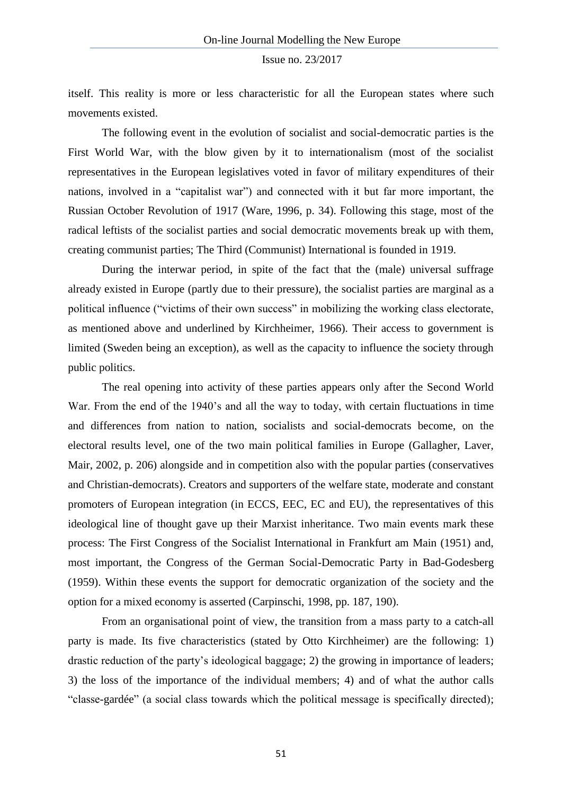itself. This reality is more or less characteristic for all the European states where such movements existed.

The following event in the evolution of socialist and social-democratic parties is the First World War, with the blow given by it to internationalism (most of the socialist representatives in the European legislatives voted in favor of military expenditures of their nations, involved in a "capitalist war") and connected with it but far more important, the Russian October Revolution of 1917 (Ware, 1996, p. 34). Following this stage, most of the radical leftists of the socialist parties and social democratic movements break up with them, creating communist parties; The Third (Communist) International is founded in 1919.

During the interwar period, in spite of the fact that the (male) universal suffrage already existed in Europe (partly due to their pressure), the socialist parties are marginal as a political influence ("victims of their own success" in mobilizing the working class electorate, as mentioned above and underlined by Kirchheimer, 1966). Their access to government is limited (Sweden being an exception), as well as the capacity to influence the society through public politics.

The real opening into activity of these parties appears only after the Second World War. From the end of the 1940's and all the way to today, with certain fluctuations in time and differences from nation to nation, socialists and social-democrats become, on the electoral results level, one of the two main political families in Europe (Gallagher, Laver, Mair, 2002, p. 206) alongside and in competition also with the popular parties (conservatives and Christian-democrats). Creators and supporters of the welfare state, moderate and constant promoters of European integration (in ECCS, EEC, EC and EU), the representatives of this ideological line of thought gave up their Marxist inheritance. Two main events mark these process: The First Congress of the Socialist International in Frankfurt am Main (1951) and, most important, the Congress of the German Social-Democratic Party in Bad-Godesberg (1959). Within these events the support for democratic organization of the society and the option for a mixed economy is asserted (Carpinschi, 1998, pp. 187, 190).

From an organisational point of view, the transition from a mass party to a catch-all party is made. Its five characteristics (stated by Otto Kirchheimer) are the following: 1) drastic reduction of the party's ideological baggage; 2) the growing in importance of leaders; 3) the loss of the importance of the individual members; 4) and of what the author calls "classe-gardée" (a social class towards which the political message is specifically directed);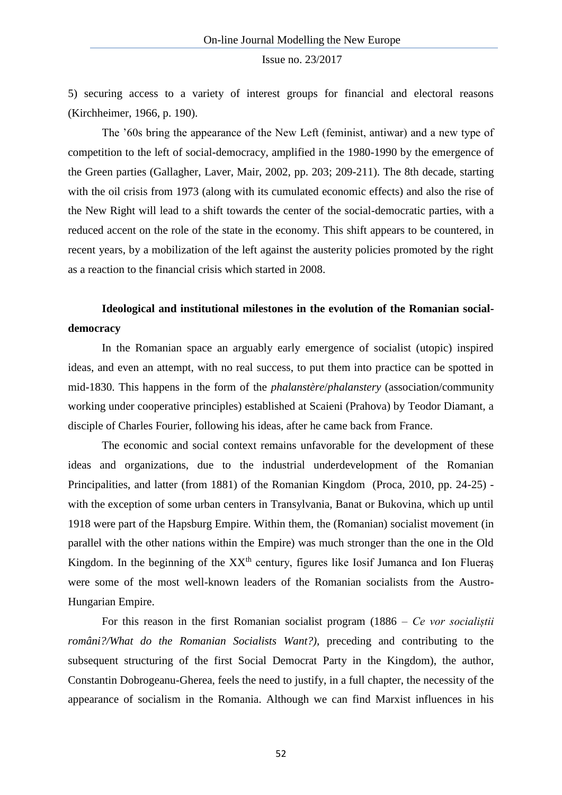5) securing access to a variety of interest groups for financial and electoral reasons (Kirchheimer, 1966, p. 190).

The '60s bring the appearance of the New Left (feminist, antiwar) and a new type of competition to the left of social-democracy, amplified in the 1980-1990 by the emergence of the Green parties (Gallagher, Laver, Mair, 2002, pp. 203; 209-211). The 8th decade, starting with the oil crisis from 1973 (along with its cumulated economic effects) and also the rise of the New Right will lead to a shift towards the center of the social-democratic parties, with a reduced accent on the role of the state in the economy. This shift appears to be countered, in recent years, by a mobilization of the left against the austerity policies promoted by the right as a reaction to the financial crisis which started in 2008.

# **Ideological and institutional milestones in the evolution of the Romanian socialdemocracy**

In the Romanian space an arguably early emergence of socialist (utopic) inspired ideas, and even an attempt, with no real success, to put them into practice can be spotted in mid-1830. This happens in the form of the *phalanstère*/*phalanstery* (association/community working under cooperative principles) established at Scaieni (Prahova) by Teodor Diamant, a disciple of Charles Fourier, following his ideas, after he came back from France.

The economic and social context remains unfavorable for the development of these ideas and organizations, due to the industrial underdevelopment of the Romanian Principalities, and latter (from 1881) of the Romanian Kingdom (Proca, 2010, pp. 24-25) with the exception of some urban centers in Transylvania, Banat or Bukovina, which up until 1918 were part of the Hapsburg Empire. Within them, the (Romanian) socialist movement (in parallel with the other nations within the Empire) was much stronger than the one in the Old Kingdom. In the beginning of the  $XX<sup>th</sup>$  century, figures like Iosif Jumanca and Ion Flueraș were some of the most well-known leaders of the Romanian socialists from the Austro-Hungarian Empire.

For this reason in the first Romanian socialist program (1886 – *Ce vor socialiștii români?/What do the Romanian Socialists Want?),* preceding and contributing to the subsequent structuring of the first Social Democrat Party in the Kingdom), the author, Constantin Dobrogeanu-Gherea, feels the need to justify, in a full chapter, the necessity of the appearance of socialism in the Romania. Although we can find Marxist influences in his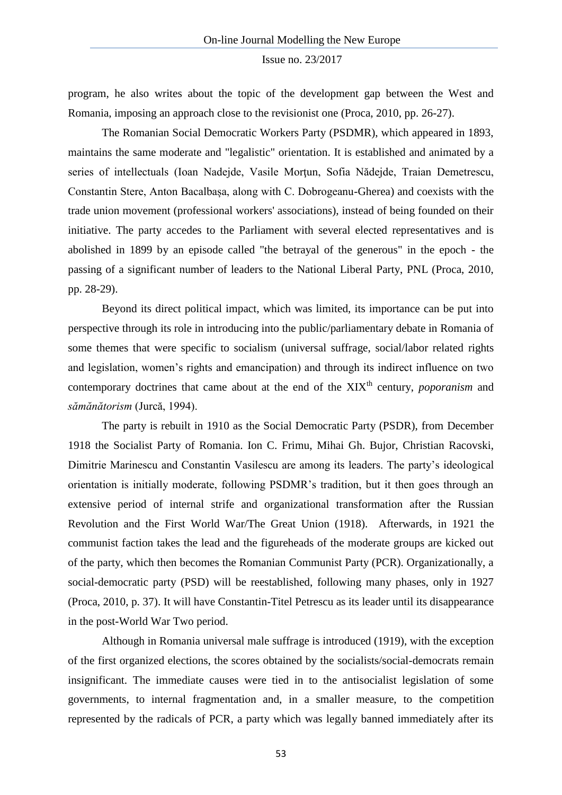program, he also writes about the topic of the development gap between the West and Romania, imposing an approach close to the revisionist one (Proca, 2010, pp. 26-27).

The Romanian Social Democratic Workers Party (PSDMR), which appeared in 1893, maintains the same moderate and "legalistic" orientation. It is established and animated by a series of intellectuals (Ioan Nadejde, Vasile Mortun, Sofia Nădejde, Traian Demetrescu, Constantin Stere, Anton Bacalbașa, along with C. Dobrogeanu-Gherea) and coexists with the trade union movement (professional workers' associations), instead of being founded on their initiative. The party accedes to the Parliament with several elected representatives and is abolished in 1899 by an episode called "the betrayal of the generous" in the epoch - the passing of a significant number of leaders to the National Liberal Party, PNL (Proca, 2010, pp. 28-29).

Beyond its direct political impact, which was limited, its importance can be put into perspective through its role in introducing into the public/parliamentary debate in Romania of some themes that were specific to socialism (universal suffrage, social/labor related rights and legislation, women's rights and emancipation) and through its indirect influence on two contemporary doctrines that came about at the end of the XIX<sup>th</sup> century, *poporanism* and *sămănătorism* (Jurcă, 1994).

The party is rebuilt in 1910 as the Social Democratic Party (PSDR), from December 1918 the Socialist Party of Romania. Ion C. Frimu, Mihai Gh. Bujor, Christian Racovski, Dimitrie Marinescu and Constantin Vasilescu are among its leaders. The party's ideological orientation is initially moderate, following PSDMR's tradition, but it then goes through an extensive period of internal strife and organizational transformation after the Russian Revolution and the First World War/The Great Union (1918). Afterwards, in 1921 the communist faction takes the lead and the figureheads of the moderate groups are kicked out of the party, which then becomes the Romanian Communist Party (PCR). Organizationally, a social-democratic party (PSD) will be reestablished, following many phases, only in 1927 (Proca, 2010, p. 37). It will have Constantin-Titel Petrescu as its leader until its disappearance in the post-World War Two period.

Although in Romania universal male suffrage is introduced (1919), with the exception of the first organized elections, the scores obtained by the socialists/social-democrats remain insignificant. The immediate causes were tied in to the antisocialist legislation of some governments, to internal fragmentation and, in a smaller measure, to the competition represented by the radicals of PCR, a party which was legally banned immediately after its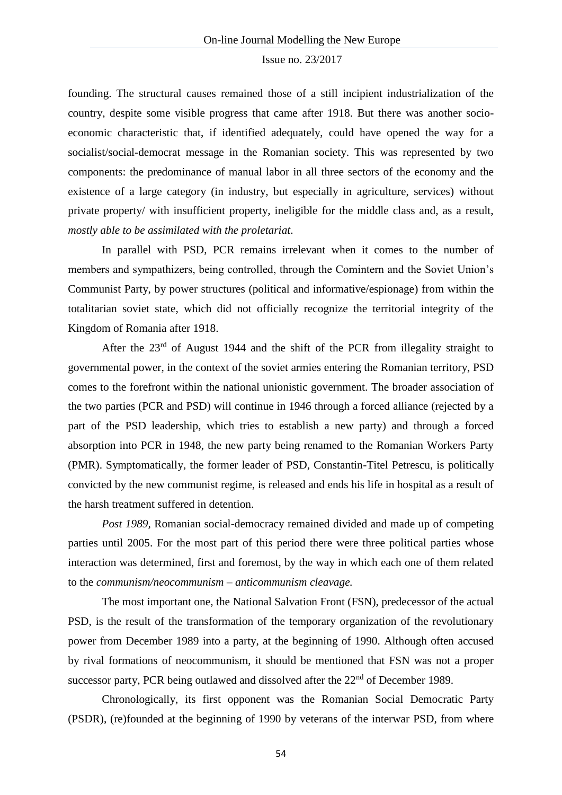founding. The structural causes remained those of a still incipient industrialization of the country, despite some visible progress that came after 1918. But there was another socioeconomic characteristic that, if identified adequately, could have opened the way for a socialist/social-democrat message in the Romanian society. This was represented by two components: the predominance of manual labor in all three sectors of the economy and the existence of a large category (in industry, but especially in agriculture, services) without private property/ with insufficient property, ineligible for the middle class and, as a result, *mostly able to be assimilated with the proletariat*.

In parallel with PSD, PCR remains irrelevant when it comes to the number of members and sympathizers, being controlled, through the Comintern and the Soviet Union's Communist Party, by power structures (political and informative/espionage) from within the totalitarian soviet state, which did not officially recognize the territorial integrity of the Kingdom of Romania after 1918.

After the 23rd of August 1944 and the shift of the PCR from illegality straight to governmental power, in the context of the soviet armies entering the Romanian territory, PSD comes to the forefront within the national unionistic government. The broader association of the two parties (PCR and PSD) will continue in 1946 through a forced alliance (rejected by a part of the PSD leadership, which tries to establish a new party) and through a forced absorption into PCR in 1948, the new party being renamed to the Romanian Workers Party (PMR). Symptomatically, the former leader of PSD, Constantin-Titel Petrescu, is politically convicted by the new communist regime, is released and ends his life in hospital as a result of the harsh treatment suffered in detention.

*Post 1989,* Romanian social-democracy remained divided and made up of competing parties until 2005. For the most part of this period there were three political parties whose interaction was determined, first and foremost, by the way in which each one of them related to the *communism/neocommunism – anticommunism cleavage.* 

The most important one, the National Salvation Front (FSN), predecessor of the actual PSD, is the result of the transformation of the temporary organization of the revolutionary power from December 1989 into a party, at the beginning of 1990. Although often accused by rival formations of neocommunism, it should be mentioned that FSN was not a proper successor party, PCR being outlawed and dissolved after the 22<sup>nd</sup> of December 1989.

Chronologically, its first opponent was the Romanian Social Democratic Party (PSDR), (re)founded at the beginning of 1990 by veterans of the interwar PSD, from where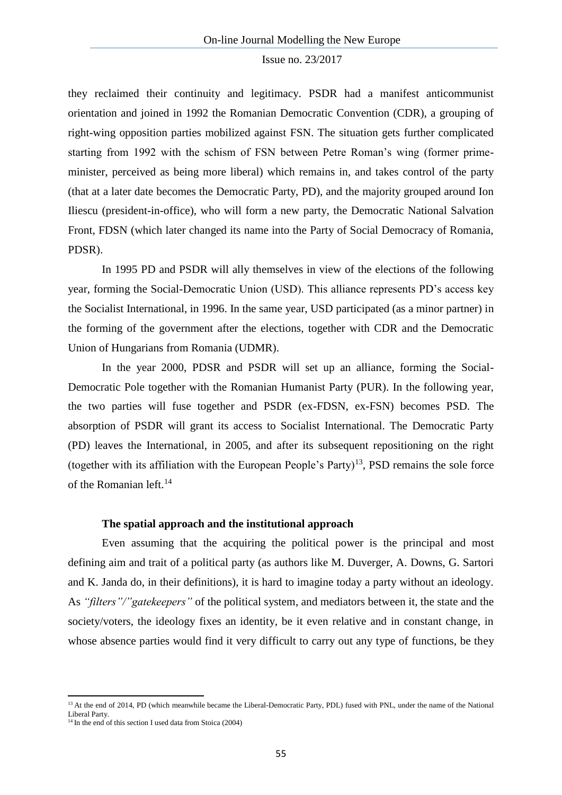they reclaimed their continuity and legitimacy. PSDR had a manifest anticommunist orientation and joined in 1992 the Romanian Democratic Convention (CDR), a grouping of right-wing opposition parties mobilized against FSN. The situation gets further complicated starting from 1992 with the schism of FSN between Petre Roman's wing (former primeminister, perceived as being more liberal) which remains in, and takes control of the party (that at a later date becomes the Democratic Party, PD), and the majority grouped around Ion Iliescu (president-in-office), who will form a new party, the Democratic National Salvation Front, FDSN (which later changed its name into the Party of Social Democracy of Romania, PDSR).

In 1995 PD and PSDR will ally themselves in view of the elections of the following year, forming the Social-Democratic Union (USD). This alliance represents PD's access key the Socialist International, in 1996. In the same year, USD participated (as a minor partner) in the forming of the government after the elections, together with CDR and the Democratic Union of Hungarians from Romania (UDMR).

In the year 2000, PDSR and PSDR will set up an alliance, forming the Social-Democratic Pole together with the Romanian Humanist Party (PUR). In the following year, the two parties will fuse together and PSDR (ex-FDSN, ex-FSN) becomes PSD. The absorption of PSDR will grant its access to Socialist International. The Democratic Party (PD) leaves the International, in 2005, and after its subsequent repositioning on the right (together with its affiliation with the European People's Party)<sup>13</sup>, PSD remains the sole force of the Romanian left. $^{14}$ 

# **The spatial approach and the institutional approach**

Even assuming that the acquiring the political power is the principal and most defining aim and trait of a political party (as authors like M. Duverger, A. Downs, G. Sartori and K. Janda do, in their definitions), it is hard to imagine today a party without an ideology. As *"filters"/"gatekeepers"* of the political system, and mediators between it, the state and the society/voters, the ideology fixes an identity, be it even relative and in constant change, in whose absence parties would find it very difficult to carry out any type of functions, be they

**.** 

<sup>&</sup>lt;sup>13</sup> At the end of 2014, PD (which meanwhile became the Liberal-Democratic Party, PDL) fused with PNL, under the name of the National Liberal Party.

<sup>&</sup>lt;sup>14</sup> In the end of this section I used data from Stoica (2004)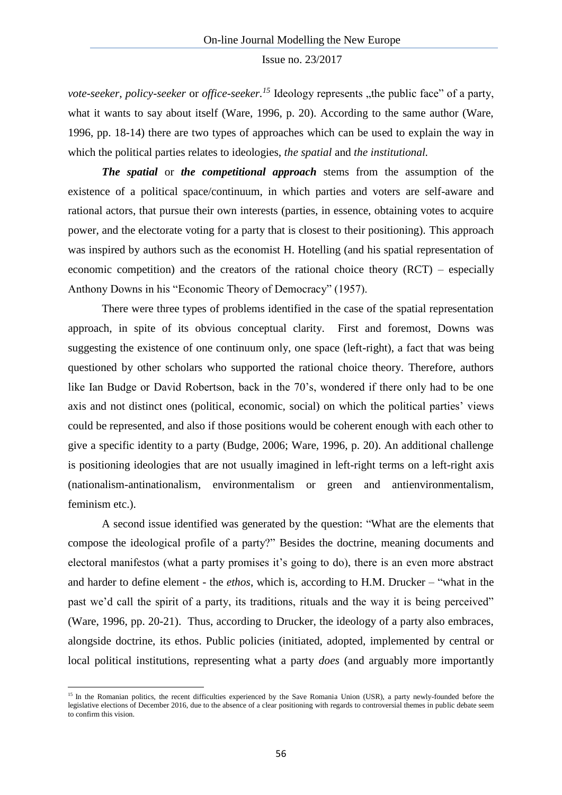*vote-seeker, policy-seeker* or *office-seeker.*<sup>15</sup> Ideology represents "the public face" of a party, what it wants to say about itself (Ware, 1996, p. 20). According to the same author (Ware, 1996, pp. 18-14) there are two types of approaches which can be used to explain the way in which the political parties relates to ideologies, *the spatial* and *the institutional.*

*The spatial* or *the competitional approach* stems from the assumption of the existence of a political space/continuum, in which parties and voters are self-aware and rational actors, that pursue their own interests (parties, in essence, obtaining votes to acquire power, and the electorate voting for a party that is closest to their positioning). This approach was inspired by authors such as the economist H. Hotelling (and his spatial representation of economic competition) and the creators of the rational choice theory (RCT) – especially Anthony Downs in his "Economic Theory of Democracy" (1957).

There were three types of problems identified in the case of the spatial representation approach, in spite of its obvious conceptual clarity. First and foremost, Downs was suggesting the existence of one continuum only, one space (left-right), a fact that was being questioned by other scholars who supported the rational choice theory. Therefore, authors like Ian Budge or David Robertson, back in the 70's, wondered if there only had to be one axis and not distinct ones (political, economic, social) on which the political parties' views could be represented, and also if those positions would be coherent enough with each other to give a specific identity to a party (Budge, 2006; Ware, 1996, p. 20). An additional challenge is positioning ideologies that are not usually imagined in left-right terms on a left-right axis (nationalism-antinationalism, environmentalism or green and antienvironmentalism, feminism etc.).

A second issue identified was generated by the question: "What are the elements that compose the ideological profile of a party?" Besides the doctrine, meaning documents and electoral manifestos (what a party promises it's going to do), there is an even more abstract and harder to define element - the *ethos*, which is, according to H.M. Drucker – "what in the past we'd call the spirit of a party, its traditions, rituals and the way it is being perceived" (Ware, 1996, pp. 20-21). Thus, according to Drucker, the ideology of a party also embraces, alongside doctrine, its ethos. Public policies (initiated, adopted, implemented by central or local political institutions, representing what a party *does* (and arguably more importantly

 $\overline{a}$ 

<sup>&</sup>lt;sup>15</sup> In the Romanian politics, the recent difficulties experienced by the Save Romania Union (USR), a party newly-founded before the legislative elections of December 2016, due to the absence of a clear positioning with regards to controversial themes in public debate seem to confirm this vision.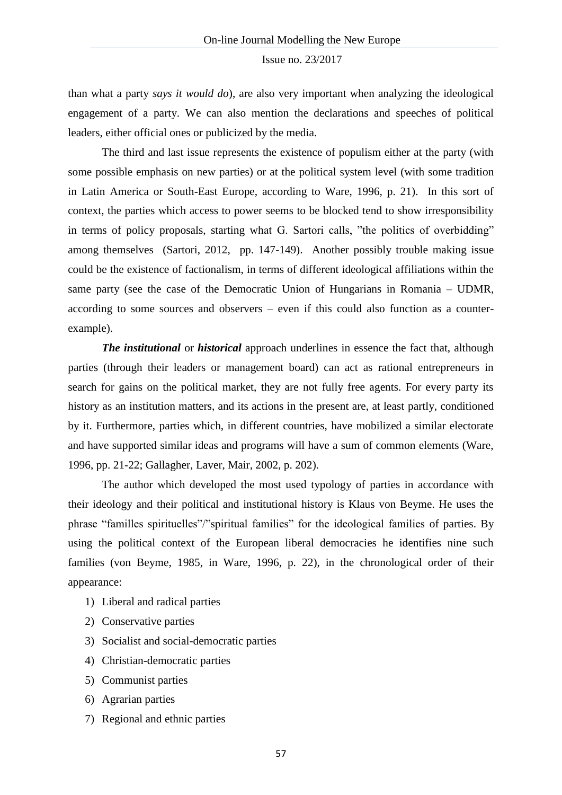than what a party *says it would do*), are also very important when analyzing the ideological engagement of a party. We can also mention the declarations and speeches of political leaders, either official ones or publicized by the media.

The third and last issue represents the existence of populism either at the party (with some possible emphasis on new parties) or at the political system level (with some tradition in Latin America or South-East Europe, according to Ware, 1996, p. 21). In this sort of context, the parties which access to power seems to be blocked tend to show irresponsibility in terms of policy proposals, starting what G. Sartori calls, "the politics of overbidding" among themselves (Sartori, 2012, pp. 147-149). Another possibly trouble making issue could be the existence of factionalism, in terms of different ideological affiliations within the same party (see the case of the Democratic Union of Hungarians in Romania – UDMR, according to some sources and observers – even if this could also function as a counterexample).

*The institutional* or *historical* approach underlines in essence the fact that, although parties (through their leaders or management board) can act as rational entrepreneurs in search for gains on the political market, they are not fully free agents. For every party its history as an institution matters, and its actions in the present are, at least partly, conditioned by it. Furthermore, parties which, in different countries, have mobilized a similar electorate and have supported similar ideas and programs will have a sum of common elements (Ware, 1996, pp. 21-22; Gallagher, Laver, Mair, 2002, p. 202).

The author which developed the most used typology of parties in accordance with their ideology and their political and institutional history is Klaus von Beyme. He uses the phrase "familles spirituelles"/"spiritual families" for the ideological families of parties. By using the political context of the European liberal democracies he identifies nine such families (von Beyme, 1985, in Ware, 1996, p. 22), in the chronological order of their appearance:

- 1) Liberal and radical parties
- 2) Conservative parties
- 3) Socialist and social-democratic parties
- 4) Christian-democratic parties
- 5) Communist parties
- 6) Agrarian parties
- 7) Regional and ethnic parties

57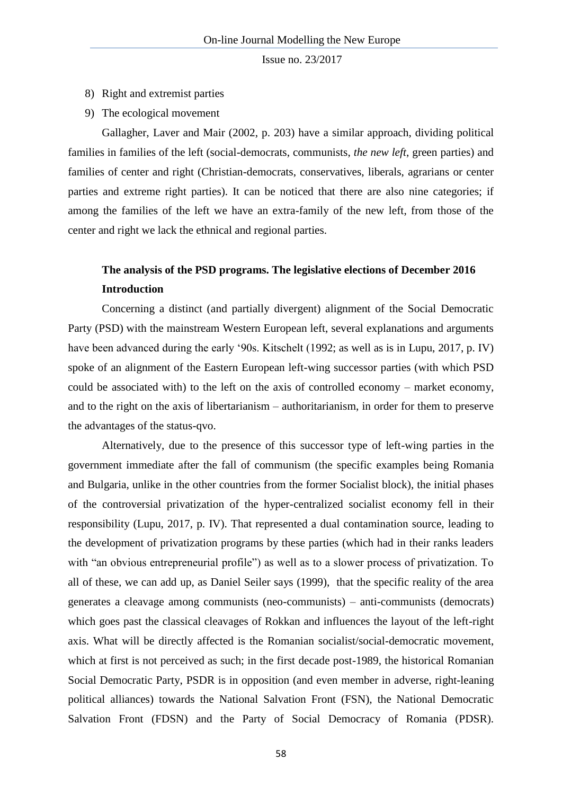- 8) Right and extremist parties
- 9) The ecological movement

Gallagher, Laver and Mair (2002, p. 203) have a similar approach, dividing political families in families of the left (social-democrats, communists, *the new left*, green parties) and families of center and right (Christian-democrats, conservatives, liberals, agrarians or center parties and extreme right parties). It can be noticed that there are also nine categories; if among the families of the left we have an extra-family of the new left, from those of the center and right we lack the ethnical and regional parties.

# **The analysis of the PSD programs. The legislative elections of December 2016 Introduction**

Concerning a distinct (and partially divergent) alignment of the Social Democratic Party (PSD) with the mainstream Western European left, several explanations and arguments have been advanced during the early '90s. Kitschelt (1992; as well as is in Lupu, 2017, p. IV) spoke of an alignment of the Eastern European left-wing successor parties (with which PSD could be associated with) to the left on the axis of controlled economy – market economy, and to the right on the axis of libertarianism – authoritarianism, in order for them to preserve the advantages of the status-qvo.

Alternatively, due to the presence of this successor type of left-wing parties in the government immediate after the fall of communism (the specific examples being Romania and Bulgaria, unlike in the other countries from the former Socialist block), the initial phases of the controversial privatization of the hyper-centralized socialist economy fell in their responsibility (Lupu, 2017, p. IV). That represented a dual contamination source, leading to the development of privatization programs by these parties (which had in their ranks leaders with "an obvious entrepreneurial profile") as well as to a slower process of privatization. To all of these, we can add up, as Daniel Seiler says (1999), that the specific reality of the area generates a cleavage among communists (neo-communists) – anti-communists (democrats) which goes past the classical cleavages of Rokkan and influences the layout of the left-right axis. What will be directly affected is the Romanian socialist/social-democratic movement, which at first is not perceived as such; in the first decade post-1989, the historical Romanian Social Democratic Party, PSDR is in opposition (and even member in adverse, right-leaning political alliances) towards the National Salvation Front (FSN), the National Democratic Salvation Front (FDSN) and the Party of Social Democracy of Romania (PDSR).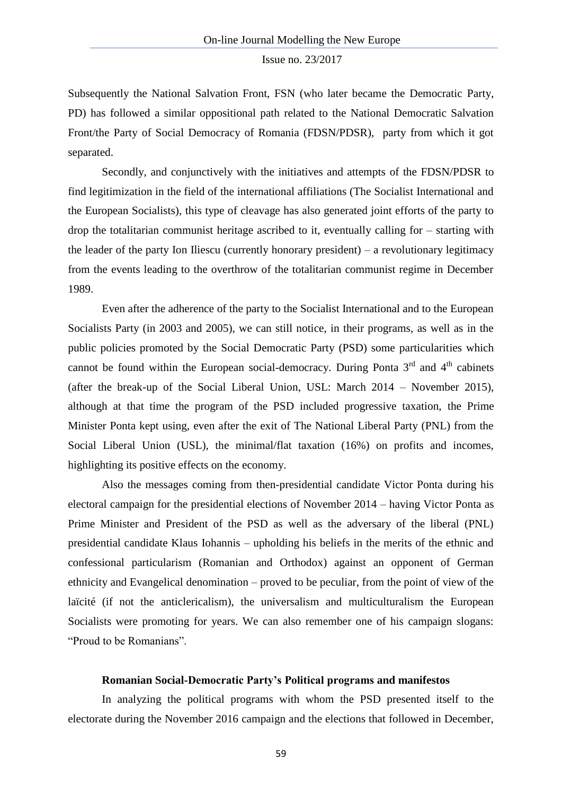Subsequently the National Salvation Front, FSN (who later became the Democratic Party, PD) has followed a similar oppositional path related to the National Democratic Salvation Front/the Party of Social Democracy of Romania (FDSN/PDSR), party from which it got separated.

Secondly, and conjunctively with the initiatives and attempts of the FDSN/PDSR to find legitimization in the field of the international affiliations (The Socialist International and the European Socialists), this type of cleavage has also generated joint efforts of the party to drop the totalitarian communist heritage ascribed to it, eventually calling for – starting with the leader of the party Ion Iliescu (currently honorary president) – a revolutionary legitimacy from the events leading to the overthrow of the totalitarian communist regime in December 1989.

Even after the adherence of the party to the Socialist International and to the European Socialists Party (in 2003 and 2005), we can still notice, in their programs, as well as in the public policies promoted by the Social Democratic Party (PSD) some particularities which cannot be found within the European social-democracy. During Ponta  $3<sup>rd</sup>$  and  $4<sup>th</sup>$  cabinets (after the break-up of the Social Liberal Union, USL: March 2014 – November 2015), although at that time the program of the PSD included progressive taxation, the Prime Minister Ponta kept using, even after the exit of The National Liberal Party (PNL) from the Social Liberal Union (USL), the minimal/flat taxation (16%) on profits and incomes, highlighting its positive effects on the economy.

Also the messages coming from then-presidential candidate Victor Ponta during his electoral campaign for the presidential elections of November 2014 – having Victor Ponta as Prime Minister and President of the PSD as well as the adversary of the liberal (PNL) presidential candidate Klaus Iohannis – upholding his beliefs in the merits of the ethnic and confessional particularism (Romanian and Orthodox) against an opponent of German ethnicity and Evangelical denomination – proved to be peculiar, from the point of view of the laïcité (if not the anticlericalism), the universalism and multiculturalism the European Socialists were promoting for years. We can also remember one of his campaign slogans: "Proud to be Romanians".

# **Romanian Social-Democratic Party's Political programs and manifestos**

In analyzing the political programs with whom the PSD presented itself to the electorate during the November 2016 campaign and the elections that followed in December,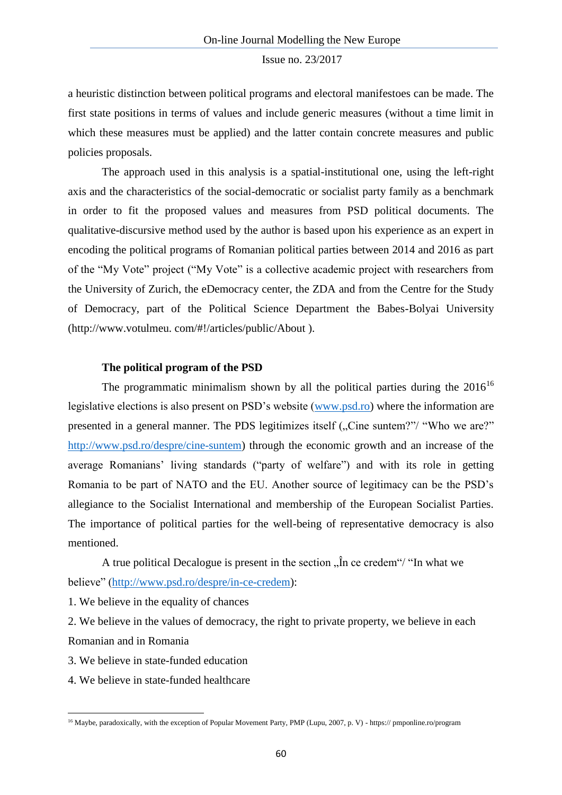a heuristic distinction between political programs and electoral manifestoes can be made. The first state positions in terms of values and include generic measures (without a time limit in which these measures must be applied) and the latter contain concrete measures and public policies proposals.

The approach used in this analysis is a spatial-institutional one, using the left-right axis and the characteristics of the social-democratic or socialist party family as a benchmark in order to fit the proposed values and measures from PSD political documents. The qualitative-discursive method used by the author is based upon his experience as an expert in encoding the political programs of Romanian political parties between 2014 and 2016 as part of the "My Vote" project ("My Vote" is a collective academic project with researchers from the University of Zurich, the eDemocracy center, the ZDA and from the Centre for the Study of Democracy, part of the Political Science Department the Babes-Bolyai University (http://www.votulmeu. com/#!/articles/public/About ).

## **The political program of the PSD**

The programmatic minimalism shown by all the political parties during the  $2016^{16}$ legislative elections is also present on PSD's website [\(www.psd.ro\)](http://www.psd.ro/) where the information are presented in a general manner. The PDS legitimizes itself ("Cine suntem?"/ "Who we are?" [http://www.psd.ro/despre/cine-suntem\)](http://www.psd.ro/despre/cine-suntem) through the economic growth and an increase of the average Romanians' living standards ("party of welfare") and with its role in getting Romania to be part of NATO and the EU. Another source of legitimacy can be the PSD's allegiance to the Socialist International and membership of the European Socialist Parties. The importance of political parties for the well-being of representative democracy is also mentioned.

A true political Decalogue is present in the section  $\hat{h}$  ce credem"/"In what we believe" [\(http://www.psd.ro/despre/in-ce-credem\)](http://www.psd.ro/despre/in-ce-credem):

1. We believe in the equality of chances

2. We believe in the values of democracy, the right to private property, we believe in each Romanian and in Romania

- 3. We believe in state-funded education
- 4. We believe in state-funded healthcare

**.** 

<sup>&</sup>lt;sup>16</sup> Maybe, paradoxically, with the exception of Popular Movement Party, PMP (Lupu, 2007, p. V) - https:// pmponline.ro/program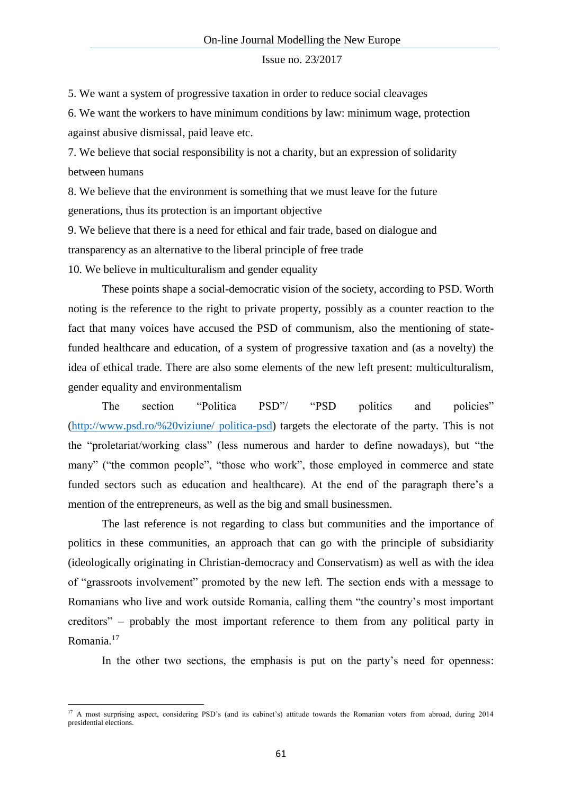5. We want a system of progressive taxation in order to reduce social cleavages

6. We want the workers to have minimum conditions by law: minimum wage, protection against abusive dismissal, paid leave etc.

7. We believe that social responsibility is not a charity, but an expression of solidarity between humans

8. We believe that the environment is something that we must leave for the future generations, thus its protection is an important objective

9. We believe that there is a need for ethical and fair trade, based on dialogue and transparency as an alternative to the liberal principle of free trade

10. We believe in multiculturalism and gender equality

1

These points shape a social-democratic vision of the society, according to PSD. Worth noting is the reference to the right to private property, possibly as a counter reaction to the fact that many voices have accused the PSD of communism, also the mentioning of statefunded healthcare and education, of a system of progressive taxation and (as a novelty) the idea of ethical trade. There are also some elements of the new left present: multiculturalism, gender equality and environmentalism

The section "Politica PSD"/ "PSD politics and policies" [\(http://www.psd.ro/%20viziune/ politica-psd\)](http://www.psd.ro/%20viziune/%20politica-psd) targets the electorate of the party. This is not the "proletariat/working class" (less numerous and harder to define nowadays), but "the many" ("the common people", "those who work", those employed in commerce and state funded sectors such as education and healthcare). At the end of the paragraph there's a mention of the entrepreneurs, as well as the big and small businessmen.

The last reference is not regarding to class but communities and the importance of politics in these communities, an approach that can go with the principle of subsidiarity (ideologically originating in Christian-democracy and Conservatism) as well as with the idea of "grassroots involvement" promoted by the new left. The section ends with a message to Romanians who live and work outside Romania, calling them "the country's most important creditors" – probably the most important reference to them from any political party in Romania.<sup>17</sup>

In the other two sections, the emphasis is put on the party's need for openness:

<sup>&</sup>lt;sup>17</sup> A most surprising aspect, considering PSD's (and its cabinet's) attitude towards the Romanian voters from abroad, during 2014 presidential elections.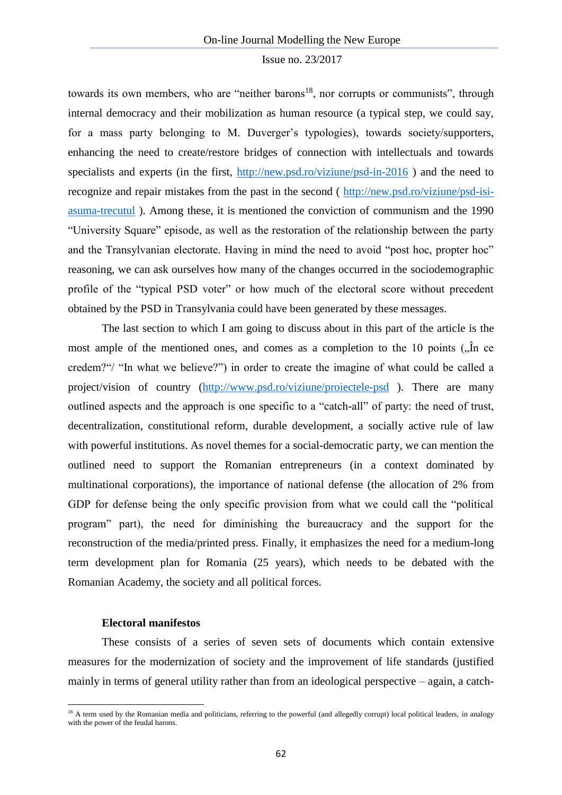towards its own members, who are "neither barons<sup>18</sup>, nor corrupts or communists", through internal democracy and their mobilization as human resource (a typical step, we could say, for a mass party belonging to M. Duverger's typologies), towards society/supporters, enhancing the need to create/restore bridges of connection with intellectuals and towards specialists and experts (in the first,<http://new.psd.ro/viziune/psd-in-2016>) and the need to recognize and repair mistakes from the past in the second ( [http://new.psd.ro/viziune/psd-isi](http://new.psd.ro/viziune/psd-isi-asuma-trecutul)[asuma-trecutul](http://new.psd.ro/viziune/psd-isi-asuma-trecutul) ). Among these, it is mentioned the conviction of communism and the 1990 "University Square" episode, as well as the restoration of the relationship between the party and the Transylvanian electorate. Having in mind the need to avoid "post hoc, propter hoc" reasoning, we can ask ourselves how many of the changes occurred in the sociodemographic profile of the "typical PSD voter" or how much of the electoral score without precedent obtained by the PSD in Transylvania could have been generated by these messages.

The last section to which I am going to discuss about in this part of the article is the most ample of the mentioned ones, and comes as a completion to the 10 points  $\left( \right)$ ,  $\hat{\text{ln}}$  ce credem?"/ "In what we believe?") in order to create the imagine of what could be called a project/vision of country [\(http://www.psd.ro/viziune/proiectele-psd](http://www.psd.ro/viziune/proiectele-psd) ). There are many outlined aspects and the approach is one specific to a "catch-all" of party: the need of trust, decentralization, constitutional reform, durable development, a socially active rule of law with powerful institutions. As novel themes for a social-democratic party, we can mention the outlined need to support the Romanian entrepreneurs (in a context dominated by multinational corporations), the importance of national defense (the allocation of 2% from GDP for defense being the only specific provision from what we could call the "political program" part), the need for diminishing the bureaucracy and the support for the reconstruction of the media/printed press. Finally, it emphasizes the need for a medium-long term development plan for Romania (25 years), which needs to be debated with the Romanian Academy, the society and all political forces.

### **Electoral manifestos**

1

These consists of a series of seven sets of documents which contain extensive measures for the modernization of society and the improvement of life standards (justified mainly in terms of general utility rather than from an ideological perspective – again, a catch-

<sup>&</sup>lt;sup>18</sup> A term used by the Romanian media and politicians, referring to the powerful (and allegedly corrupt) local political leaders, in analogy with the power of the feudal barons.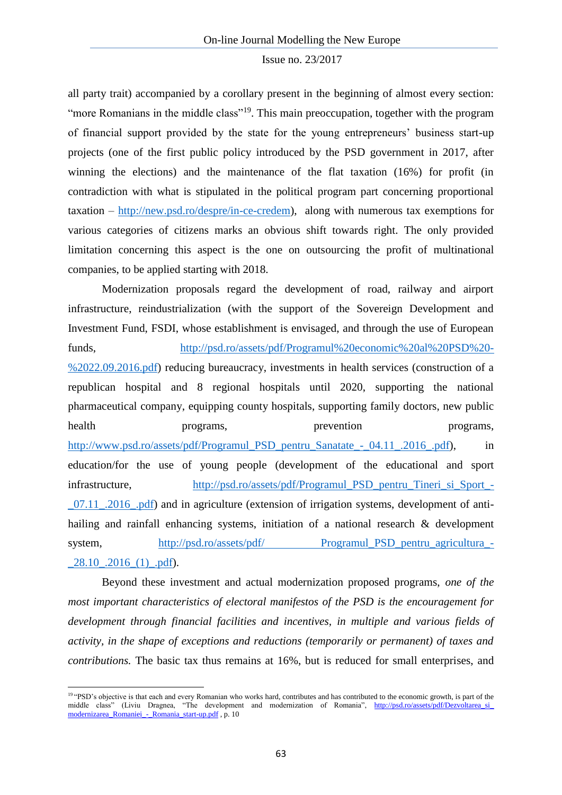all party trait) accompanied by a corollary present in the beginning of almost every section: "more Romanians in the middle class"<sup>19</sup>. This main preoccupation, together with the program of financial support provided by the state for the young entrepreneurs' business start-up projects (one of the first public policy introduced by the PSD government in 2017, after winning the elections) and the maintenance of the flat taxation (16%) for profit (in contradiction with what is stipulated in the political program part concerning proportional taxation – [http://new.psd.ro/despre/in-ce-credem\)](http://new.psd.ro/despre/in-ce-credem), along with numerous tax exemptions for various categories of citizens marks an obvious shift towards right. The only provided limitation concerning this aspect is the one on outsourcing the profit of multinational companies, to be applied starting with 2018.

Modernization proposals regard the development of road, railway and airport infrastructure, reindustrialization (with the support of the Sovereign Development and Investment Fund, FSDI, whose establishment is envisaged, and through the use of European funds, [http://psd.ro/assets/pdf/Programul%20economic%20al%20PSD%20-](http://psd.ro/assets/pdf/Programul%20economic%20al%20PSD%20-%2022.09.2016.pdf) [%2022.09.2016.pdf\)](http://psd.ro/assets/pdf/Programul%20economic%20al%20PSD%20-%2022.09.2016.pdf) reducing bureaucracy, investments in health services (construction of a republican hospital and 8 regional hospitals until 2020, supporting the national pharmaceutical company, equipping county hospitals, supporting family doctors, new public health programs, provention programs, [http://www.psd.ro/assets/pdf/Programul\\_PSD\\_pentru\\_Sanatate\\_-\\_04.11\\_.2016\\_.pdf\)](http://www.psd.ro/assets/pdf/Programul_PSD_pentru_Sanatate_-_04.11_.2016_.pdf), in education/for the use of young people (development of the educational and sport infrastructure, [http://psd.ro/assets/pdf/Programul\\_PSD\\_pentru\\_Tineri\\_si\\_Sport\\_-](http://psd.ro/assets/pdf/Programul_PSD_pentru_Tineri_si_Sport_-_07.11_.2016_.pdf)  $-07.11$  .2016 .pdf) and in agriculture (extension of irrigation systems, development of antihailing and rainfall enhancing systems, initiation of a national research & development system, http://psd.ro/assets/pdf/ Programul PSD pentru agricultura - $28.10$ .  $2016$  (1). pdf).

Beyond these investment and actual modernization proposed programs, *one of the most important characteristics of electoral manifestos of the PSD is the encouragement for development through financial facilities and incentives, in multiple and various fields of activity, in the shape of exceptions and reductions (temporarily or permanent) of taxes and contributions.* The basic tax thus remains at 16%, but is reduced for small enterprises, and

 $\overline{a}$ 

<sup>&</sup>lt;sup>19</sup> "PSD's objective is that each and every Romanian who works hard, contributes and has contributed to the economic growth, is part of the middle class" (Liviu Dragnea, "The development and modernization of Romania", http://psd.ro/assets/pdf/Dezvoltarea\_si\_ [modernizarea\\_Romaniei\\_-\\_Romania\\_start-up.pdf](http://psd.ro/assets/pdf/Dezvoltarea_si_%20modernizarea_Romaniei_-_Romania_start-up.pdf), p. 10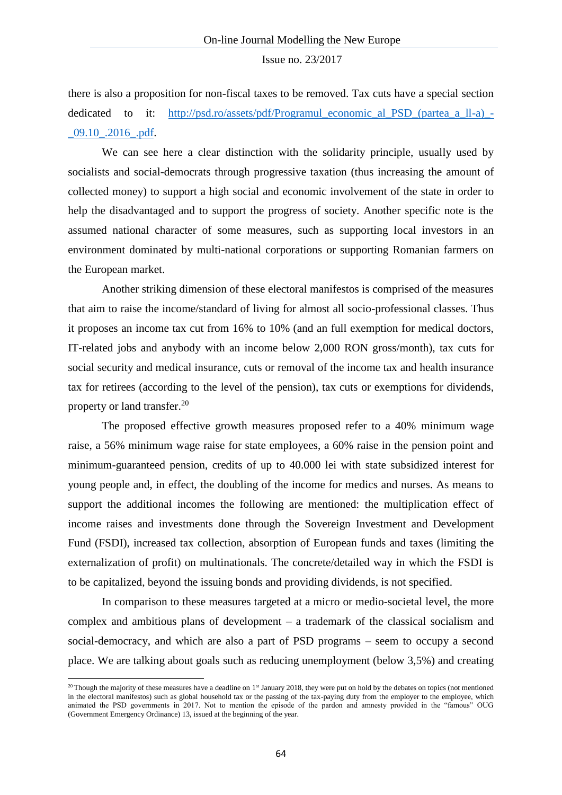there is also a proposition for non-fiscal taxes to be removed. Tax cuts have a special section dedicated to it: [http://psd.ro/assets/pdf/Programul\\_economic\\_al\\_PSD\\_\(partea\\_a\\_ll-a\)\\_-](http://psd.ro/assets/pdf/Programul_economic_al_PSD_(partea_a_ll-a)_-_09.10_.2016_.pdf) [\\_09.10\\_.2016\\_.pdf.](http://psd.ro/assets/pdf/Programul_economic_al_PSD_(partea_a_ll-a)_-_09.10_.2016_.pdf)

We can see here a clear distinction with the solidarity principle, usually used by socialists and social-democrats through progressive taxation (thus increasing the amount of collected money) to support a high social and economic involvement of the state in order to help the disadvantaged and to support the progress of society. Another specific note is the assumed national character of some measures, such as supporting local investors in an environment dominated by multi-national corporations or supporting Romanian farmers on the European market.

Another striking dimension of these electoral manifestos is comprised of the measures that aim to raise the income/standard of living for almost all socio-professional classes. Thus it proposes an income tax cut from 16% to 10% (and an full exemption for medical doctors, IT-related jobs and anybody with an income below 2,000 RON gross/month), tax cuts for social security and medical insurance, cuts or removal of the income tax and health insurance tax for retirees (according to the level of the pension), tax cuts or exemptions for dividends, property or land transfer.<sup>20</sup>

The proposed effective growth measures proposed refer to a 40% minimum wage raise, a 56% minimum wage raise for state employees, a 60% raise in the pension point and minimum-guaranteed pension, credits of up to 40.000 lei with state subsidized interest for young people and, in effect, the doubling of the income for medics and nurses. As means to support the additional incomes the following are mentioned: the multiplication effect of income raises and investments done through the Sovereign Investment and Development Fund (FSDI), increased tax collection, absorption of European funds and taxes (limiting the externalization of profit) on multinationals. The concrete/detailed way in which the FSDI is to be capitalized, beyond the issuing bonds and providing dividends, is not specified.

In comparison to these measures targeted at a micro or medio-societal level, the more complex and ambitious plans of development – a trademark of the classical socialism and social-democracy, and which are also a part of PSD programs – seem to occupy a second place. We are talking about goals such as reducing unemployment (below 3,5%) and creating

**.** 

<sup>&</sup>lt;sup>20</sup> Though the majority of these measures have a deadline on  $1<sup>st</sup>$  January 2018, they were put on hold by the debates on topics (not mentioned in the electoral manifestos) such as global household tax or the passing of the tax-paying duty from the employer to the employee, which animated the PSD governments in 2017. Not to mention the episode of the pardon and amnesty provided in the "famous" OUG (Government Emergency Ordinance) 13, issued at the beginning of the year.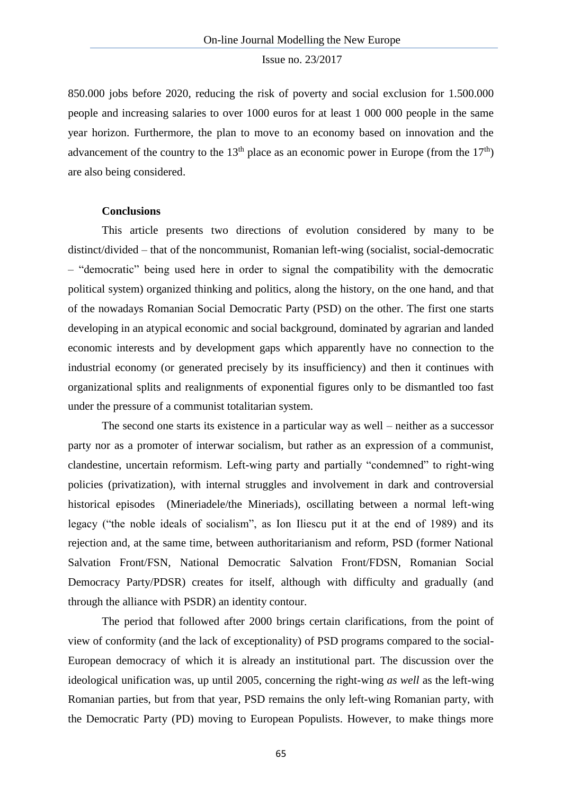850.000 jobs before 2020, reducing the risk of poverty and social exclusion for 1.500.000 people and increasing salaries to over 1000 euros for at least 1 000 000 people in the same year horizon. Furthermore, the plan to move to an economy based on innovation and the advancement of the country to the 13<sup>th</sup> place as an economic power in Europe (from the 17<sup>th</sup>) are also being considered.

# **Conclusions**

This article presents two directions of evolution considered by many to be distinct/divided – that of the noncommunist, Romanian left-wing (socialist, social-democratic – "democratic" being used here in order to signal the compatibility with the democratic political system) organized thinking and politics, along the history, on the one hand, and that of the nowadays Romanian Social Democratic Party (PSD) on the other. The first one starts developing in an atypical economic and social background, dominated by agrarian and landed economic interests and by development gaps which apparently have no connection to the industrial economy (or generated precisely by its insufficiency) and then it continues with organizational splits and realignments of exponential figures only to be dismantled too fast under the pressure of a communist totalitarian system.

The second one starts its existence in a particular way as well – neither as a successor party nor as a promoter of interwar socialism, but rather as an expression of a communist, clandestine, uncertain reformism. Left-wing party and partially "condemned" to right-wing policies (privatization), with internal struggles and involvement in dark and controversial historical episodes (Mineriadele/the Mineriads), oscillating between a normal left-wing legacy ("the noble ideals of socialism", as Ion Iliescu put it at the end of 1989) and its rejection and, at the same time, between authoritarianism and reform, PSD (former National Salvation Front/FSN, National Democratic Salvation Front/FDSN, Romanian Social Democracy Party/PDSR) creates for itself, although with difficulty and gradually (and through the alliance with PSDR) an identity contour.

The period that followed after 2000 brings certain clarifications, from the point of view of conformity (and the lack of exceptionality) of PSD programs compared to the social-European democracy of which it is already an institutional part. The discussion over the ideological unification was, up until 2005, concerning the right-wing *as well* as the left-wing Romanian parties, but from that year, PSD remains the only left-wing Romanian party, with the Democratic Party (PD) moving to European Populists. However, to make things more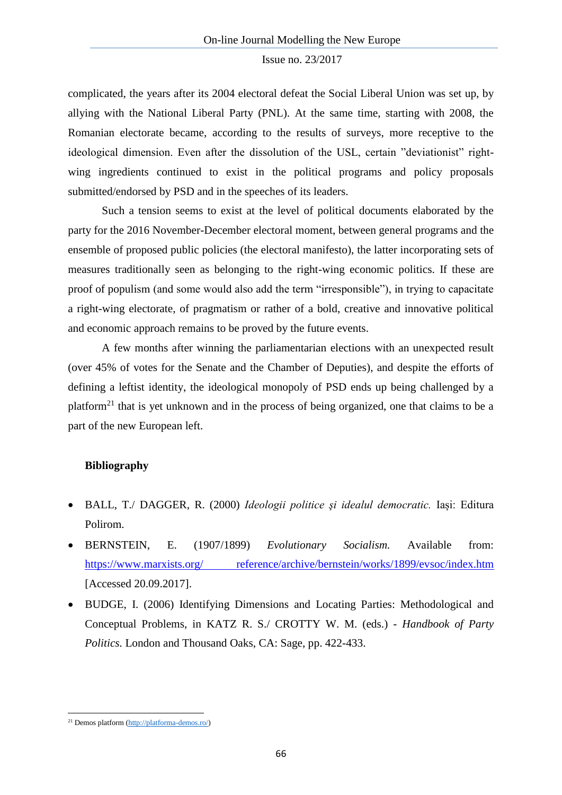complicated, the years after its 2004 electoral defeat the Social Liberal Union was set up, by allying with the National Liberal Party (PNL). At the same time, starting with 2008, the Romanian electorate became, according to the results of surveys, more receptive to the ideological dimension. Even after the dissolution of the USL, certain "deviationist" rightwing ingredients continued to exist in the political programs and policy proposals submitted/endorsed by PSD and in the speeches of its leaders.

Such a tension seems to exist at the level of political documents elaborated by the party for the 2016 November-December electoral moment, between general programs and the ensemble of proposed public policies (the electoral manifesto), the latter incorporating sets of measures traditionally seen as belonging to the right-wing economic politics. If these are proof of populism (and some would also add the term "irresponsible"), in trying to capacitate a right-wing electorate, of pragmatism or rather of a bold, creative and innovative political and economic approach remains to be proved by the future events.

A few months after winning the parliamentarian elections with an unexpected result (over 45% of votes for the Senate and the Chamber of Deputies), and despite the efforts of defining a leftist identity, the ideological monopoly of PSD ends up being challenged by a platform<sup>21</sup> that is yet unknown and in the process of being organized, one that claims to be a part of the new European left.

### **Bibliography**

- BALL, T./ DAGGER, R. (2000) *Ideologii politice şi idealul democratic.* Iași: Editura Polirom.
- BERNSTEIN, E. (1907/1899) *Evolutionary Socialism.* Available from: [https://www.marxists.org/ reference/archive/bernstein/works/1899/evsoc/index.htm](https://www.marxists.org/%20reference/archive/bernstein/works/1899/evsoc/index.htm) [Accessed 20.09.2017].
- BUDGE, I. (2006) Identifying Dimensions and Locating Parties: Methodological and Conceptual Problems, in KATZ R. S./ CROTTY W. M. (eds.) - *Handbook of Party Politics.* London and Thousand Oaks, CA: Sage, pp. 422-433.

**.** 

<sup>21</sup> Demos platform [\(http://platforma-demos.ro/\)](http://platforma-demos.ro/)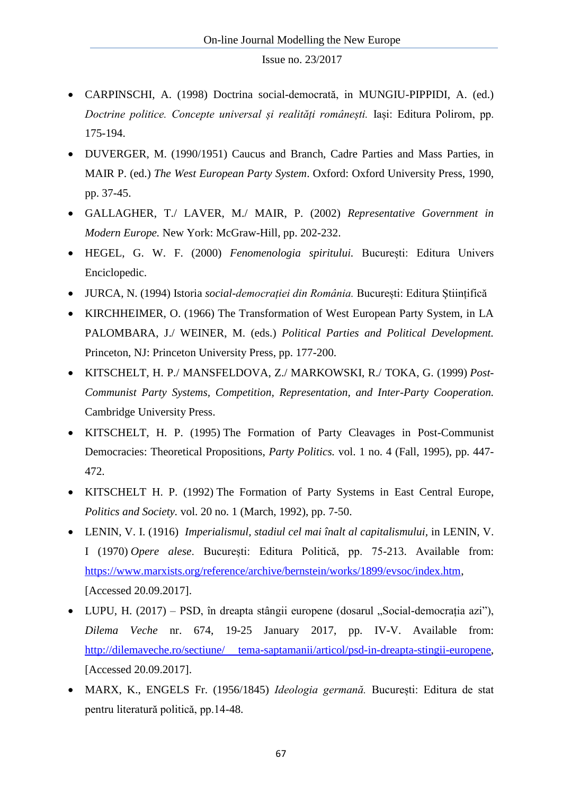- CARPINSCHI, A. (1998) Doctrina social-democrată, in MUNGIU-PIPPIDI, A. (ed.) *Doctrine politice. Concepte universal și realități românești.* Iași: Editura Polirom, pp. 175-194.
- DUVERGER, M. (1990/1951) Caucus and Branch, Cadre Parties and Mass Parties, in MAIR P. (ed.) *The West European Party System*. Oxford: Oxford University Press, 1990, pp. 37-45.
- GALLAGHER, T./ LAVER, M./ MAIR, P. (2002) *Representative Government in Modern Europe.* New York: McGraw-Hill, pp. 202-232.
- HEGEL, G. W. F. (2000) *Fenomenologia spiritului.* București: Editura Univers Enciclopedic.
- JURCA, N. (1994) Istoria *social-democrației din România.* București: Editura Științifică
- KIRCHHEIMER, O. (1966) The Transformation of West European Party System, in LA PALOMBARA, J./ WEINER, M. (eds.) *Political Parties and Political Development.*  Princeton, NJ: Princeton University Press, pp. 177-200.
- KITSCHELT, H. P./ MANSFELDOVA, Z./ MARKOWSKI, R./ TOKA, G. (1999) *Post-Communist Party Systems, Competition, Representation, and Inter-Party Cooperation.*  Cambridge University Press.
- KITSCHELT, H. P. (1995) The Formation of Party Cleavages in Post-Communist Democracies: Theoretical Propositions, *Party Politics.* vol. 1 no. 4 (Fall, 1995), pp. 447- 472.
- KITSCHELT H. P. (1992) The Formation of Party Systems in East Central Europe, *Politics and Society.* vol. 20 no. 1 (March, 1992), pp. 7-50.
- LENIN, V. I. (1916) *Imperialismul, stadiul cel mai înalt al capitalismului,* in LENIN, V. I (1970) *Opere alese*. București: Editura Politică, pp. 75-213. Available from: [https://www.marxists.org/reference/archive/bernstein/works/1899/evsoc/index.htm,](https://l.facebook.com/l.php?u=https%3A%2F%2Fwww.marxists.org%2Freference%2Farchive%2Fbernstein%2Fworks%2F1899%2Fevsoc%2Findex.htm&h=ATM8JVuI3DteGy-twZs0yP9AUIh06Mm1Fh0B6xH-StjqwGiKwTRdSD-PHWZQHMgNIqT-QSL1k3FVV5NAx4mYurJS423Zv8dp_jbI9uKA7qsQ5sIus6YgxUccy4HS5QJnp9Xph9U3Ym8) [Accessed 20.09.2017].
- LUPU, H. (2017) PSD, în dreapta stângii europene (dosarul "Social-democrația azi"), *Dilema Veche* nr. 674, 19-25 January 2017, pp. IV-V. Available from: [http://dilemaveche.ro/sectiune/ tema-saptamanii/articol/psd-in-dreapta-stingii-europene,](http://dilemaveche.ro/sectiune/%20tema-saptamanii/articol/psd-in-dreapta-stingii-europene) [Accessed 20.09.2017].
- MARX, K., ENGELS Fr. (1956/1845) *Ideologia germană.* București: Editura de stat pentru literatură politică, pp.14-48.